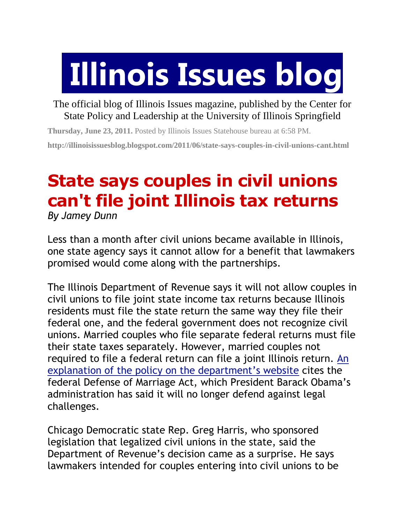## **Illinois Issues blog**

The official blog of Illinois Issues magazine, published by the Center for State Policy and Leadership at the University of Illinois Springfield

**Thursday, June 23, 2011.** Posted by Illinois Issues Statehouse bureau at [6:58](http://illinoisissuesblog.blogspot.com/2011/06/state-says-couples-in-civil-unions-cant.html) PM. **http://illinoisissuesblog.blogspot.com/2011/06/state-says-couples-in-civil-unions-cant.html**

## **State says couples in civil unions can't file joint Illinois tax returns**

*By Jamey Dunn* 

Less than a month after civil unions became available in Illinois, one state agency says it cannot allow for a benefit that lawmakers promised would come along with the partnerships.

The Illinois Department of Revenue says it will not allow couples in civil unions to file joint state income tax returns because Illinois residents must file the state return the same way they file their federal one, and the federal government does not recognize civil unions. Married couples who file separate federal returns must file their state taxes separately. However, married couples not required to file a federal return can file a joint Illinois return. [An](http://www.revenue.state.il.us/Announcements/CivilUnions.htm)  [explanation of the policy on the department's website](http://www.revenue.state.il.us/Announcements/CivilUnions.htm) cites the federal Defense of Marriage Act, which President Barack Obama's administration has said it will no longer defend against legal challenges.

Chicago Democratic state Rep. Greg Harris, who sponsored legislation that legalized civil unions in the state, said the Department of Revenue's decision came as a surprise. He says lawmakers intended for couples entering into civil unions to be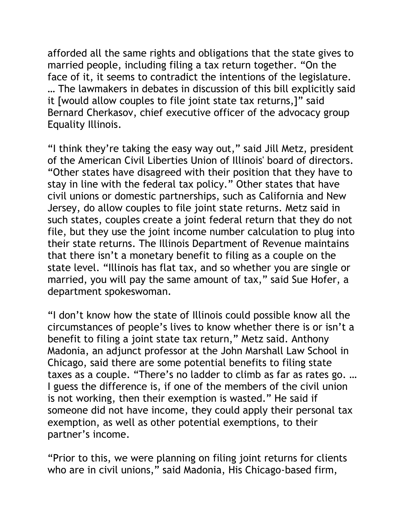afforded all the same rights and obligations that the state gives to married people, including filing a tax return together. "On the face of it, it seems to contradict the intentions of the legislature. … The lawmakers in debates in discussion of this bill explicitly said it [would allow couples to file joint state tax returns,]" said Bernard Cherkasov, chief executive officer of the advocacy group Equality Illinois.

"I think they're taking the easy way out," said Jill Metz, president of the American Civil Liberties Union of Illinois' board of directors. "Other states have disagreed with their position that they have to stay in line with the federal tax policy." Other states that have civil unions or domestic partnerships, such as California and New Jersey, do allow couples to file joint state returns. Metz said in such states, couples create a joint federal return that they do not file, but they use the joint income number calculation to plug into their state returns. The Illinois Department of Revenue maintains that there isn't a monetary benefit to filing as a couple on the state level. "Illinois has flat tax, and so whether you are single or married, you will pay the same amount of tax," said Sue Hofer, a department spokeswoman.

"I don't know how the state of Illinois could possible know all the circumstances of people's lives to know whether there is or isn't a benefit to filing a joint state tax return," Metz said. Anthony Madonia, an adjunct professor at the John Marshall Law School in Chicago, said there are some potential benefits to filing state taxes as a couple. "There's no ladder to climb as far as rates go. … I guess the difference is, if one of the members of the civil union is not working, then their exemption is wasted." He said if someone did not have income, they could apply their personal tax exemption, as well as other potential exemptions, to their partner's income.

"Prior to this, we were planning on filing joint returns for clients who are in civil unions," said Madonia, His Chicago-based firm,